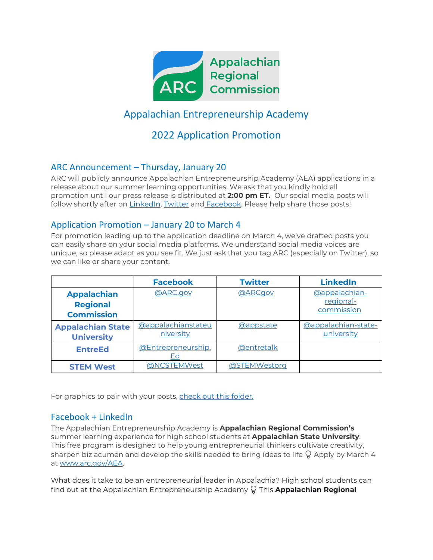

# Appalachian Entrepreneurship Academy

# 2022 Application Promotion

### ARC Announcement – Thursday, January 20

ARC will publicly announce Appalachian Entrepreneurship Academy (AEA) applications in a release about our summer learning opportunities. We ask that you kindly hold all promotion until our press release is distributed at **2:00 pm ET.** Our social media posts will follow shortly after on [LinkedIn,](https://linkedin.com/company/appalachian-regional-commission) [Twitter](https://twitter.com/ARCgov) and [Facebook.](https://www.facebook.com/ARC.gov/?__tn__=kC-R&eid=ARDi7F_c722x0VE0YOyjBWijn9eGEzWqre27JrIQlvq-Z996rI4A-8sLX0611i-aq2ym7ALYTYFosGTN&hc_ref=ARQxCqphn699D_H3876R_x4PKwIh0boFzqz7a0NXqqDfqi8MHbNKtS8qChDd3fF7zrI&fref=nf&__xts__%5b0%5d=68.ARAcvYPpT56G94KIuOjt2yRaYBo67QGttgMBeVhxczww2l9pFAZD39QDYKVZ8YGT9Z8h45vGmE13qeDHjGehDaSzKjvxl62pTOyLFmi46lv2ZX3dx2zj8___gWgFii1VEbJ5Y8GYBsvqYHN3ylHHx1Oey2Tyimg-NvnOwaOvomlwiv2qQPn0gqKWFGGQR5WOFD7xDj_QWtCz0XhJ0tGZQR1XEITa7ho4CDyLf63P_gd8TuNvFbUho3gkisxXPzR7RNp2-NT7_7MxECc1SZHvTBba3s8X1HG_WmZfvMzvDPv1kf6P0TydflCwDFQfMFAPkCf4xJivdRd6FoXdhT9ixfInkw) Please help share those posts!

#### Application Promotion – January 20 to March 4

For promotion leading up to the application deadline on March 4, we've drafted posts you can easily share on your social media platforms. We understand social media voices are unique, so please adapt as you see fit. We just ask that you tag ARC (especially on Twitter), so we can like or share your content.

|                                                            | <b>Facebook</b>                 | <b>Twitter</b>    | <b>LinkedIn</b>                          |
|------------------------------------------------------------|---------------------------------|-------------------|------------------------------------------|
| <b>Appalachian</b><br><b>Regional</b><br><b>Commission</b> | @ARC.gov                        | <b>@ARCgov</b>    | @appalachian-<br>regional-<br>commission |
| <b>Appalachian State</b><br><b>University</b>              | @appalachianstateu<br>niversity | <b>@appstate</b>  | @appalachian-state-<br>university        |
| <b>EntreEd</b>                                             | @Entrepreneurship.<br>Ed        | <b>@entretalk</b> |                                          |
| <b>STEM West</b>                                           | @NCSTEMWest                     | @STEMWestorg      |                                          |

For graphics to pair with your posts, [check out this folder.](https://arc001-my.sharepoint.com/:f:/g/personal/lderosa_arc_gov/EhNwjgbXTOBGq5gLQV1E6HcBg0ccOsxQ35_NZ_Wa2JPQSw?e=0T4FBl)

### Facebook + LinkedIn

The Appalachian Entrepreneurship Academy is **Appalachian Regional Commission's**  summer learning experience for high school students at **Appalachian State University**. This free program is designed to help young entrepreneurial thinkers cultivate creativity, sharpen biz acumen and develop the skills needed to bring ideas to life  $\mathbb Q$  Apply by March 4 at www.arc.gov/AEA.

What does it take to be an entrepreneurial leader in Appalachia? High school students can find out at the Appalachian Entrepreneurship Academy Q This **Appalachian Regional**